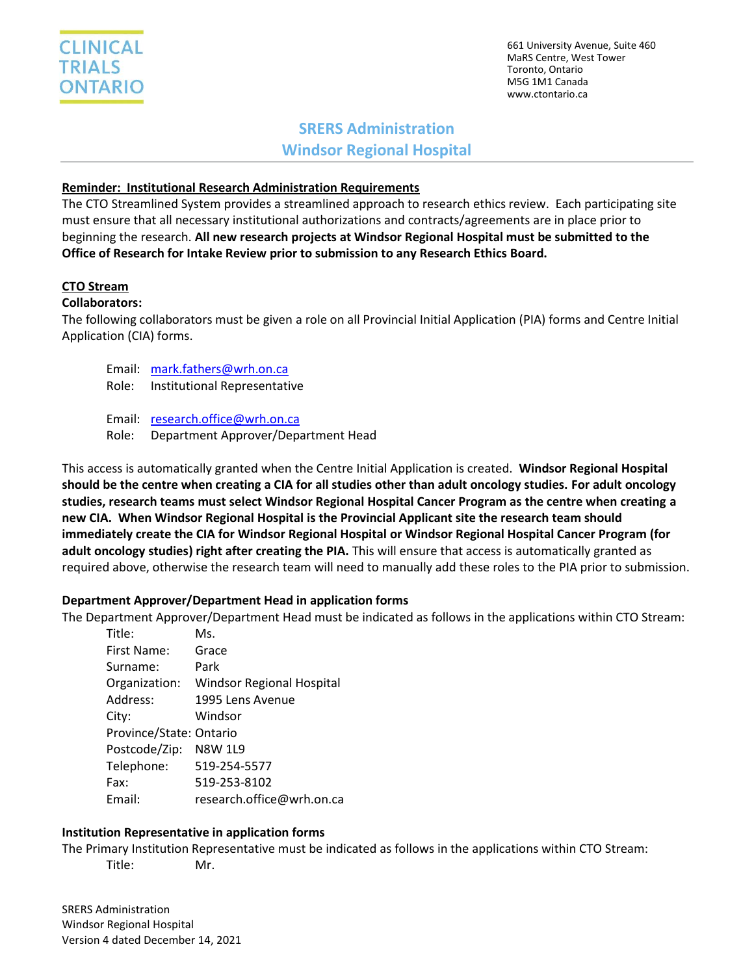

661 University Avenue, Suite 460 MaRS Centre, West Tower Toronto, Ontario M5G 1M1 Canada www.ctontario.ca

# **SRERS Administration Windsor Regional Hospital**

## **Reminder: Institutional Research Administration Requirements**

The CTO Streamlined System provides a streamlined approach to research ethics review. Each participating site must ensure that all necessary institutional authorizations and contracts/agreements are in place prior to beginning the research. **All new research projects at Windsor Regional Hospital must be submitted to the Office of Research for Intake Review prior to submission to any Research Ethics Board.**

### **CTO Stream**

#### **Collaborators:**

The following collaborators must be given a role on all Provincial Initial Application (PIA) forms and Centre Initial Application (CIA) forms.

- Email: [mark.fathers@wrh.on.ca](mailto:mark.fathers@wrh.on.ca) Role: Institutional Representative
- Email: [research.office@wrh.on.ca](mailto:research.office@wrh.on.ca) Role: Department Approver/Department Head

This access is automatically granted when the Centre Initial Application is created. **Windsor Regional Hospital should be the centre when creating a CIA for all studies other than adult oncology studies. For adult oncology studies, research teams must select Windsor Regional Hospital Cancer Program as the centre when creating a new CIA. When Windsor Regional Hospital is the Provincial Applicant site the research team should immediately create the CIA for Windsor Regional Hospital or Windsor Regional Hospital Cancer Program (for adult oncology studies) right after creating the PIA.** This will ensure that access is automatically granted as required above, otherwise the research team will need to manually add these roles to the PIA prior to submission.

## **Department Approver/Department Head in application forms**

The Department Approver/Department Head must be indicated as follows in the applications within CTO Stream:

| Title:                  | Ms.                              |
|-------------------------|----------------------------------|
| First Name:             | Grace                            |
| Surname:                | Park                             |
| Organization:           | <b>Windsor Regional Hospital</b> |
| Address:                | 1995 Lens Avenue                 |
| City:                   | Windsor                          |
| Province/State: Ontario |                                  |
| Postcode/Zip:           | <b>N8W 1L9</b>                   |
| Telephone:              | 519-254-5577                     |
| Fax:                    | 519-253-8102                     |
| Email:                  | research.office@wrh.on.ca        |

## **Institution Representative in application forms**

The Primary Institution Representative must be indicated as follows in the applications within CTO Stream: Title: Mr.